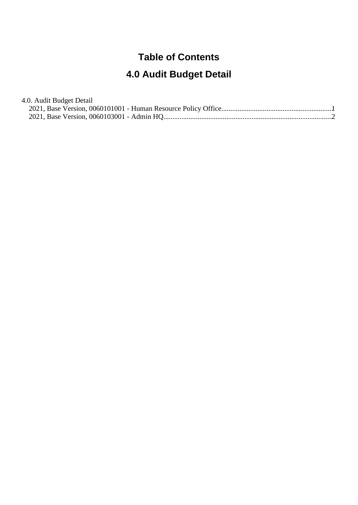## **Table of Contents**

## **4.0 Audit Budget Detail**

| 4.0. Audit Budget Detail |  |
|--------------------------|--|
|                          |  |
|                          |  |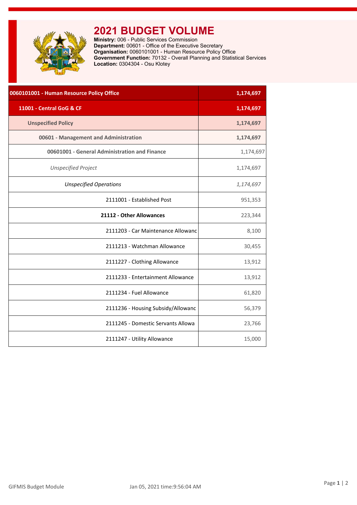<span id="page-1-0"></span>

## **2021 BUDGET VOLUME**

**Ministry:** 006 - Public Services Commission **Department:** 00601 - Office of the Executive Secretary **Organisation:** 0060101001 - Human Resource Policy Office **Government Function:** 70132 - Overall Planning and Statistical Services **Location:** 0304304 - Osu Klotey

| 0060101001 - Human Resource Policy Office     | 1,174,697 |
|-----------------------------------------------|-----------|
| 11001 - Central GoG & CF                      | 1,174,697 |
| <b>Unspecified Policy</b>                     | 1,174,697 |
| 00601 - Management and Administration         | 1,174,697 |
| 00601001 - General Administration and Finance | 1,174,697 |
| <b>Unspecified Project</b>                    | 1,174,697 |
| <b>Unspecified Operations</b>                 | 1,174,697 |
| 2111001 - Established Post                    | 951,353   |
| 21112 - Other Allowances                      | 223,344   |
| 2111203 - Car Maintenance Allowanc            | 8,100     |
| 2111213 - Watchman Allowance                  | 30,455    |
| 2111227 - Clothing Allowance                  | 13,912    |
| 2111233 - Entertainment Allowance             | 13,912    |
| 2111234 - Fuel Allowance                      | 61,820    |
| 2111236 - Housing Subsidy/Allowanc            | 56,379    |
| 2111245 - Domestic Servants Allowa            | 23,766    |
| 2111247 - Utility Allowance                   | 15,000    |